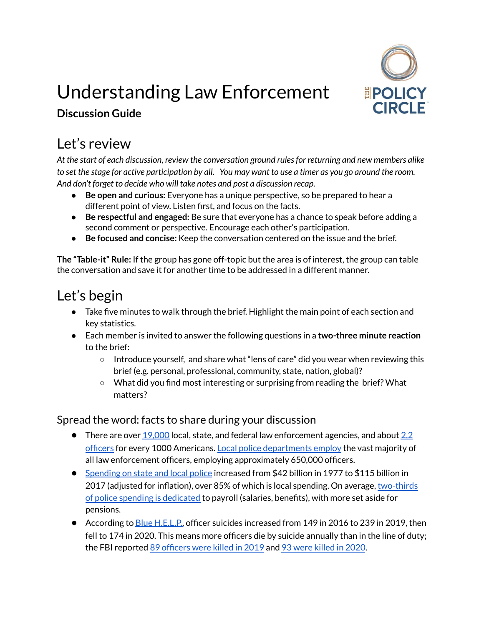

# Understanding Law Enforcement

### **Discussion Guide**

### Let's review

*At the start of each discussion, review the conversation ground rulesfor returning and new members alike* to set the stage for active participation by all. You may want to use a timer as you go around the room. *And don't forget to decide who will take notes and post a discussion recap.*

- **Be open and curious:** Everyone has a unique perspective, so be prepared to hear a different point of view. Listen first, and focus on the facts.
- **Be respectful and engaged:** Be sure that everyone has a chance to speak before adding a second comment or perspective. Encourage each other's participation.
- **Be focused and concise:** Keep the conversation centered on the issue and the brief.

**The "Table-it" Rule:** If the group has gone off-topic but the area is of interest, the group can table the conversation and save it for another time to be addressed in a different manner.

### Let's begin

- Take five minutes to walk through the brief. Highlight the main point of each section and key statistics.
- Each member is invited to answer the following questions in a **two-three minute reaction** to the brief:
	- Introduce yourself, and share what "lens of care" did you wear when reviewing this brief (e.g. personal, professional, community, state, nation, global)?
	- What did you find most interesting or surprising from reading the brief? What matters?

#### Spread the word: facts to share during your discussion

- $\bullet$  There are over [19,000](https://crime-data-explorer.fr.cloud.gov/explorer/national/united-states/crime) local, state, and federal law enforcement agencies, and about [2.2](https://www.charleskochinstitute.org/issue-areas/criminal-justice-policing-reform/role-of-police-in-america/) [officers](https://www.charleskochinstitute.org/issue-areas/criminal-justice-policing-reform/role-of-police-in-america/) for every 1000 Americans. Local police [departments](https://www.census.gov/data/datasets/2020/econ/apes/annual-apes.html) employ the vast majority of all law enforcement officers, employing approximately 650,000 officers.
- [Spending](https://www.urban.org/urban-wire/what-police-spending-data-can-and-cannot-explain-amid-calls-defund-police) on state and local police increased from \$42 billion in 1977 to \$115 billion in 2017 (adjusted for inflation), over 85% of which is local spending. On average, [two-thirds](https://www.urban.org/urban-wire/what-police-spending-data-can-and-cannot-explain-amid-calls-defund-police) of police spending is [dedicated](https://www.urban.org/urban-wire/what-police-spending-data-can-and-cannot-explain-amid-calls-defund-police) to payroll (salaries, benefits), with more set aside for pensions.
- According to <u>Blue H.E.L.P.</u>, officer suicides increased from 149 in 2016 to 239 in 2019, then fell to 174 in 2020. This means more officers die by suicide annually than in the line of duty; the FBI reported 89 [officers](https://www.fbi.gov/news/pressrel/press-releases/fbi-releases-2019-statistics-on-law-enforcement-officers-killed-in-the-line-of-duty#:~:text=The%20number%20of%20officers%20killed,2010%20data%20(55%20officers).) were killed in 2019 and 93 were [killed](https://www.fbi.gov/news/pressrel/press-releases/fbi-releases-2020-statistics-on-law-enforcement-officers-killed-in-the-line-of-duty) in 2020.